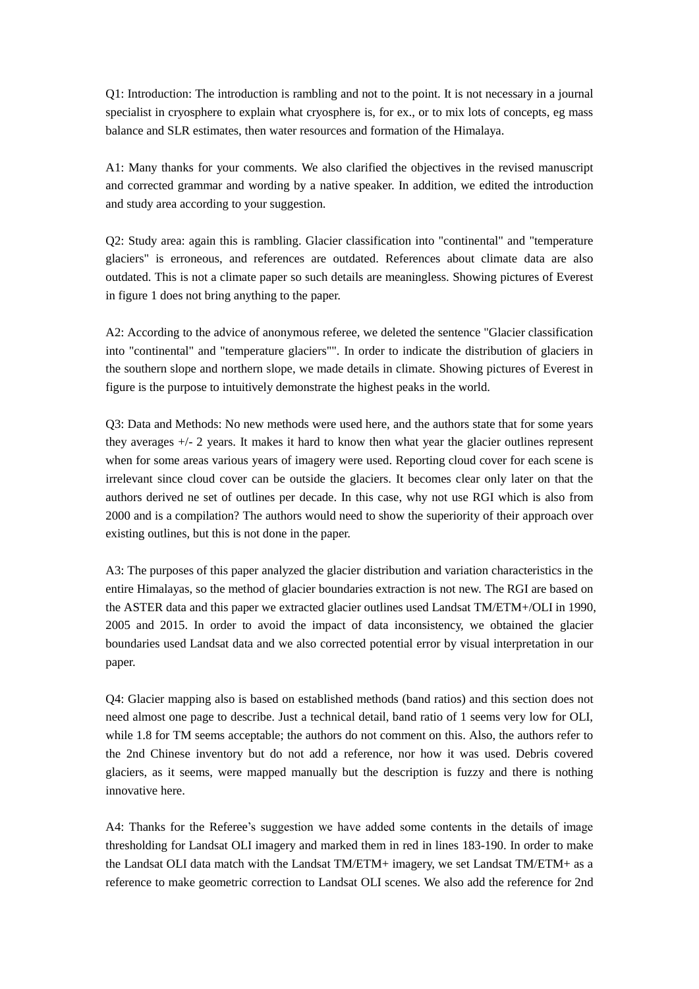Q1: Introduction: The introduction is rambling and not to the point. It is not necessary in a journal specialist in cryosphere to explain what cryosphere is, for ex., or to mix lots of concepts, eg mass balance and SLR estimates, then water resources and formation of the Himalaya.

A1: Many thanks for your comments. We also clarified the objectives in the revised manuscript and corrected grammar and wording by a native speaker. In addition, we edited the introduction and study area according to your suggestion.

Q2: Study area: again this is rambling. Glacier classification into "continental" and "temperature glaciers" is erroneous, and references are outdated. References about climate data are also outdated. This is not a climate paper so such details are meaningless. Showing pictures of Everest in figure 1 does not bring anything to the paper.

A2: According to the advice of anonymous referee, we deleted the sentence "Glacier classification into "continental" and "temperature glaciers"". In order to indicate the distribution of glaciers in the southern slope and northern slope, we made details in climate. Showing pictures of Everest in figure is the purpose to intuitively demonstrate the highest peaks in the world.

Q3: Data and Methods: No new methods were used here, and the authors state that for some years they averages +/- 2 years. It makes it hard to know then what year the glacier outlines represent when for some areas various years of imagery were used. Reporting cloud cover for each scene is irrelevant since cloud cover can be outside the glaciers. It becomes clear only later on that the authors derived ne set of outlines per decade. In this case, why not use RGI which is also from 2000 and is a compilation? The authors would need to show the superiority of their approach over existing outlines, but this is not done in the paper.

A3: The purposes of this paper analyzed the glacier distribution and variation characteristics in the entire Himalayas, so the method of glacier boundaries extraction is not new. The RGI are based on the ASTER data and this paper we extracted glacier outlines used Landsat TM/ETM+/OLI in 1990, 2005 and 2015. In order to avoid the impact of data inconsistency, we obtained the glacier boundaries used Landsat data and we also corrected potential error by visual interpretation in our paper.

Q4: Glacier mapping also is based on established methods (band ratios) and this section does not need almost one page to describe. Just a technical detail, band ratio of 1 seems very low for OLI, while 1.8 for TM seems acceptable; the authors do not comment on this. Also, the authors refer to the 2nd Chinese inventory but do not add a reference, nor how it was used. Debris covered glaciers, as it seems, were mapped manually but the description is fuzzy and there is nothing innovative here.

A4: Thanks for the Referee's suggestion we have added some contents in the details of image thresholding for Landsat OLI imagery and marked them in red in lines 183-190. In order to make the Landsat OLI data match with the Landsat TM/ETM+ imagery, we set Landsat TM/ETM+ as a reference to make geometric correction to Landsat OLI scenes. We also add the reference for 2nd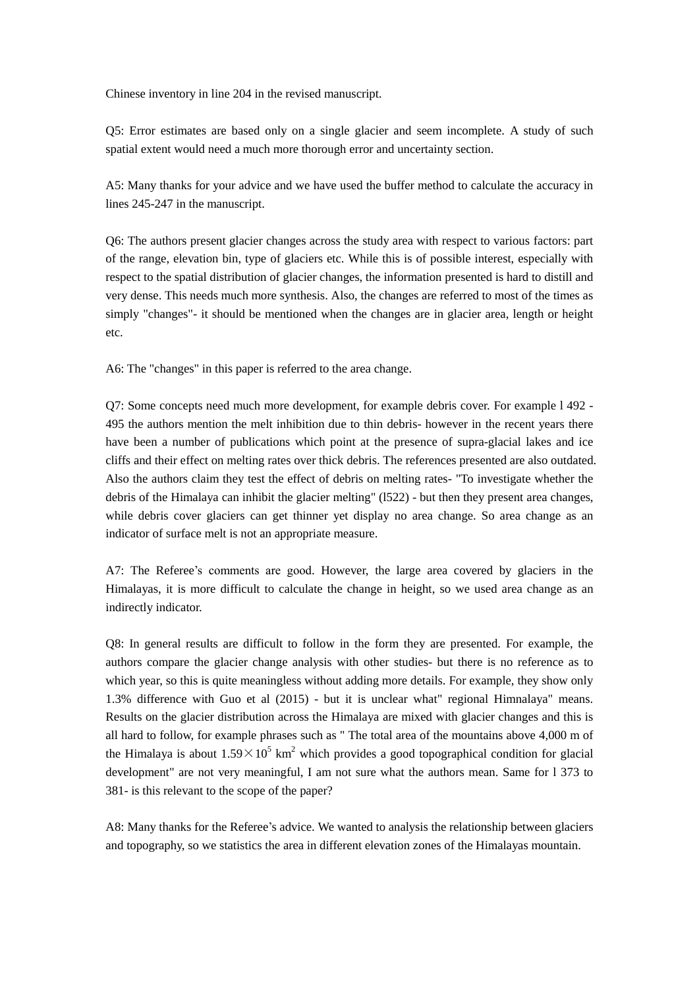Chinese inventory in line 204 in the revised manuscript.

Q5: Error estimates are based only on a single glacier and seem incomplete. A study of such spatial extent would need a much more thorough error and uncertainty section.

A5: Many thanks for your advice and we have used the buffer method to calculate the accuracy in lines 245-247 in the manuscript.

Q6: The authors present glacier changes across the study area with respect to various factors: part of the range, elevation bin, type of glaciers etc. While this is of possible interest, especially with respect to the spatial distribution of glacier changes, the information presented is hard to distill and very dense. This needs much more synthesis. Also, the changes are referred to most of the times as simply "changes"- it should be mentioned when the changes are in glacier area, length or height etc.

A6: The "changes" in this paper is referred to the area change.

Q7: Some concepts need much more development, for example debris cover. For example l 492 - 495 the authors mention the melt inhibition due to thin debris- however in the recent years there have been a number of publications which point at the presence of supra-glacial lakes and ice cliffs and their effect on melting rates over thick debris. The references presented are also outdated. Also the authors claim they test the effect of debris on melting rates- "To investigate whether the debris of the Himalaya can inhibit the glacier melting" (l522) - but then they present area changes, while debris cover glaciers can get thinner yet display no area change. So area change as an indicator of surface melt is not an appropriate measure.

A7: The Referee's comments are good. However, the large area covered by glaciers in the Himalayas, it is more difficult to calculate the change in height, so we used area change as an indirectly indicator.

Q8: In general results are difficult to follow in the form they are presented. For example, the authors compare the glacier change analysis with other studies- but there is no reference as to which year, so this is quite meaningless without adding more details. For example, they show only 1.3% difference with Guo et al (2015) - but it is unclear what" regional Himnalaya" means. Results on the glacier distribution across the Himalaya are mixed with glacier changes and this is all hard to follow, for example phrases such as " The total area of the mountains above 4,000 m of the Himalaya is about  $1.59 \times 10^5$  km<sup>2</sup> which provides a good topographical condition for glacial development" are not very meaningful, I am not sure what the authors mean. Same for l 373 to 381- is this relevant to the scope of the paper?

A8: Many thanks for the Referee's advice. We wanted to analysis the relationship between glaciers and topography, so we statistics the area in different elevation zones of the Himalayas mountain.